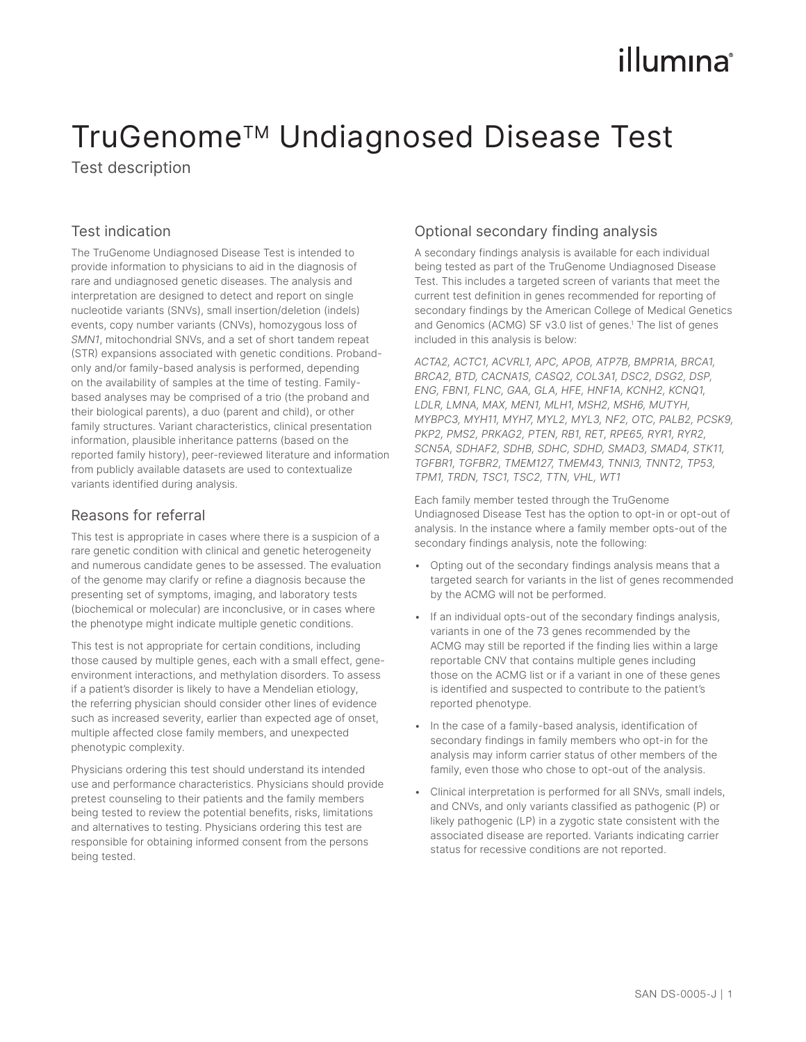# illumına

## TruGenome™ Undiagnosed Disease Test

Test description

## Test indication

The TruGenome Undiagnosed Disease Test is intended to provide information to physicians to aid in the diagnosis of rare and undiagnosed genetic diseases. The analysis and interpretation are designed to detect and report on single nucleotide variants (SNVs), small insertion/deletion (indels) events, copy number variants (CNVs), homozygous loss of *SMN1*, mitochondrial SNVs, and a set of short tandem repeat (STR) expansions associated with genetic conditions. Probandonly and/or family-based analysis is performed, depending on the availability of samples at the time of testing. Familybased analyses may be comprised of a trio (the proband and their biological parents), a duo (parent and child), or other family structures. Variant characteristics, clinical presentation information, plausible inheritance patterns (based on the reported family history), peer-reviewed literature and information from publicly available datasets are used to contextualize variants identified during analysis.

#### Reasons for referral

This test is appropriate in cases where there is a suspicion of a rare genetic condition with clinical and genetic heterogeneity and numerous candidate genes to be assessed. The evaluation of the genome may clarify or refine a diagnosis because the presenting set of symptoms, imaging, and laboratory tests (biochemical or molecular) are inconclusive, or in cases where the phenotype might indicate multiple genetic conditions.

This test is not appropriate for certain conditions, including those caused by multiple genes, each with a small effect, geneenvironment interactions, and methylation disorders. To assess if a patient's disorder is likely to have a Mendelian etiology, the referring physician should consider other lines of evidence such as increased severity, earlier than expected age of onset, multiple affected close family members, and unexpected phenotypic complexity.

Physicians ordering this test should understand its intended use and performance characteristics. Physicians should provide pretest counseling to their patients and the family members being tested to review the potential benefits, risks, limitations and alternatives to testing. Physicians ordering this test are responsible for obtaining informed consent from the persons being tested.

## Optional secondary finding analysis

A secondary findings analysis is available for each individual being tested as part of the TruGenome Undiagnosed Disease Test. This includes a targeted screen of variants that meet the current test definition in genes recommended for reporting of secondary findings by the American College of Medical Genetics and Genomics (ACMG) SF v3.0 list of genes.<sup>[1](#page-2-0)</sup> The list of genes included in this analysis is below:

*ACTA2, ACTC1, ACVRL1, APC, APOB, ATP7B, BMPR1A, BRCA1, BRCA2, BTD, CACNA1S, CASQ2, COL3A1, DSC2, DSG2, DSP, ENG, FBN1, FLNC, GAA, GLA, HFE, HNF1A, KCNH2, KCNQ1, LDLR, LMNA, MAX, MEN1, MLH1, MSH2, MSH6, MUTYH, MYBPC3, MYH11, MYH7, MYL2, MYL3, NF2, OTC, PALB2, PCSK9, PKP2, PMS2, PRKAG2, PTEN, RB1, RET, RPE65, RYR1, RYR2, SCN5A, SDHAF2, SDHB, SDHC, SDHD, SMAD3, SMAD4, STK11, TGFBR1, TGFBR2, TMEM127, TMEM43, TNNI3, TNNT2, TP53, TPM1, TRDN, TSC1, TSC2, TTN, VHL, WT1*

Each family member tested through the TruGenome Undiagnosed Disease Test has the option to opt-in or opt-out of analysis. In the instance where a family member opts-out of the secondary findings analysis, note the following:

- Opting out of the secondary findings analysis means that a targeted search for variants in the list of genes recommended by the ACMG will not be performed.
- If an individual opts-out of the secondary findings analysis, variants in one of the 73 genes recommended by the ACMG may still be reported if the finding lies within a large reportable CNV that contains multiple genes including those on the ACMG list or if a variant in one of these genes is identified and suspected to contribute to the patient's reported phenotype.
- In the case of a family-based analysis, identification of secondary findings in family members who opt-in for the analysis may inform carrier status of other members of the family, even those who chose to opt-out of the analysis.
- Clinical interpretation is performed for all SNVs, small indels, and CNVs, and only variants classified as pathogenic (P) or likely pathogenic (LP) in a zygotic state consistent with the associated disease are reported. Variants indicating carrier status for recessive conditions are not reported.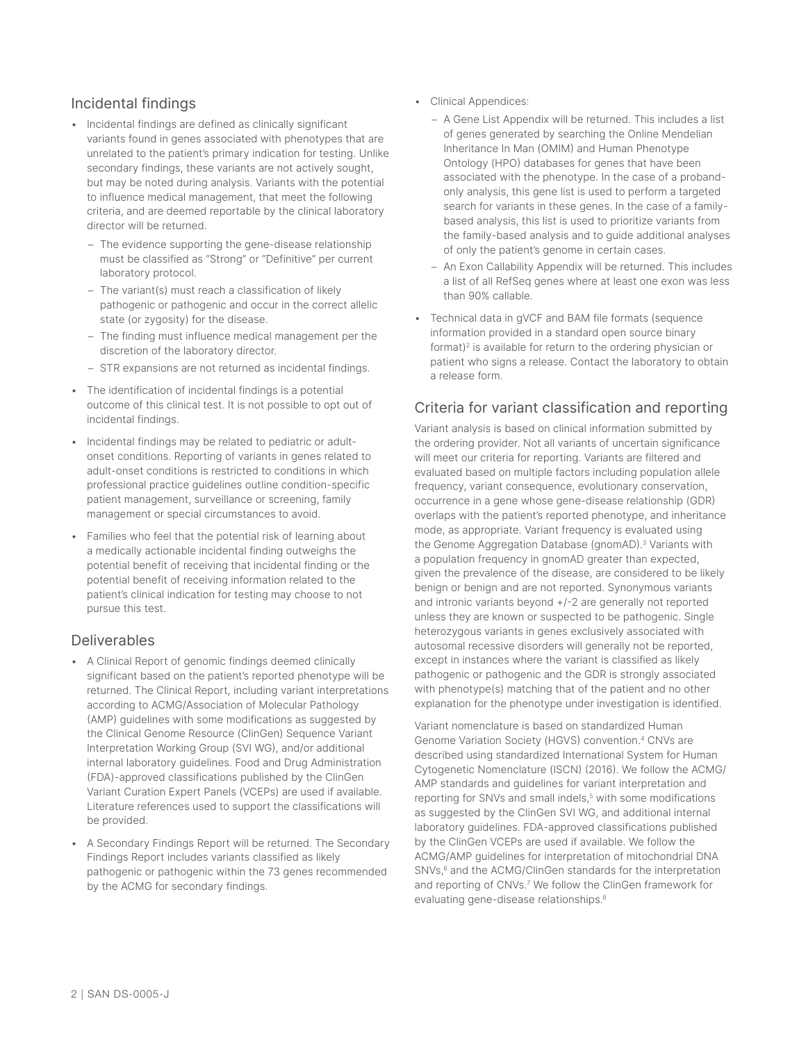#### Incidental findings

- Incidental findings are defined as clinically significant variants found in genes associated with phenotypes that are unrelated to the patient's primary indication for testing. Unlike secondary findings, these variants are not actively sought, but may be noted during analysis. Variants with the potential to influence medical management, that meet the following criteria, and are deemed reportable by the clinical laboratory director will be returned.
	- The evidence supporting the gene-disease relationship must be classified as "Strong" or "Definitive" per current laboratory protocol.
	- The variant(s) must reach a classification of likely pathogenic or pathogenic and occur in the correct allelic state (or zygosity) for the disease.
	- The finding must influence medical management per the discretion of the laboratory director.
	- STR expansions are not returned as incidental findings.
- The identification of incidental findings is a potential outcome of this clinical test. It is not possible to opt out of incidental findings.
- Incidental findings may be related to pediatric or adultonset conditions. Reporting of variants in genes related to adult-onset conditions is restricted to conditions in which professional practice guidelines outline condition-specific patient management, surveillance or screening, family management or special circumstances to avoid.
- Families who feel that the potential risk of learning about a medically actionable incidental finding outweighs the potential benefit of receiving that incidental finding or the potential benefit of receiving information related to the patient's clinical indication for testing may choose to not pursue this test.

#### Deliverables

- A Clinical Report of genomic findings deemed clinically significant based on the patient's reported phenotype will be returned. The Clinical Report, including variant interpretations according to ACMG/Association of Molecular Pathology (AMP) guidelines with some modifications as suggested by the Clinical Genome Resource (ClinGen) Sequence Variant Interpretation Working Group (SVI WG), and/or additional internal laboratory guidelines. Food and Drug Administration (FDA)-approved classifications published by the ClinGen Variant Curation Expert Panels (VCEPs) are used if available. Literature references used to support the classifications will be provided.
- A Secondary Findings Report will be returned. The Secondary Findings Report includes variants classified as likely pathogenic or pathogenic within the 73 genes recommended by the ACMG for secondary findings.
- Clinical Appendices:
	- A Gene List Appendix will be returned. This includes a list of genes generated by searching the Online Mendelian Inheritance In Man (OMIM) and Human Phenotype Ontology (HPO) databases for genes that have been associated with the phenotype. In the case of a probandonly analysis, this gene list is used to perform a targeted search for variants in these genes. In the case of a familybased analysis, this list is used to prioritize variants from the family-based analysis and to guide additional analyses of only the patient's genome in certain cases.
	- An Exon Callability Appendix will be returned. This includes a list of all RefSeq genes where at least one exon was less than 90% callable.
- Technical data in gVCF and BAM file formats (sequence information provided in a standard open source binary format)<sup>2</sup> is available for return to the ordering physician or patient who signs a release. Contact the laboratory to obtain a release form.

#### Criteria for variant classification and reporting

Variant analysis is based on clinical information submitted by the ordering provider. Not all variants of uncertain significance will meet our criteria for reporting. Variants are filtered and evaluated based on multiple factors including population allele frequency, variant consequence, evolutionary conservation, occurrence in a gene whose gene-disease relationship (GDR) overlaps with the patient's reported phenotype, and inheritance mode, as appropriate. Variant frequency is evaluated using the Genome Aggregation Database (gnomAD).<sup>3</sup> Variants with a population frequency in gnomAD greater than expected, given the prevalence of the disease, are considered to be likely benign or benign and are not reported. Synonymous variants and intronic variants beyond +/-2 are generally not reported unless they are known or suspected to be pathogenic. Single heterozygous variants in genes exclusively associated with autosomal recessive disorders will generally not be reported, except in instances where the variant is classified as likely pathogenic or pathogenic and the GDR is strongly associated with phenotype(s) matching that of the patient and no other explanation for the phenotype under investigation is identified.

Variant nomenclature is based on standardized Human Genome Variation Society (HGVS) convention.[4](#page-2-3) CNVs are described using standardized International System for Human Cytogenetic Nomenclature (ISCN) (2016). We follow the ACMG/ AMP standards and guidelines for variant interpretation and reporting for SNVs and small indels,<sup>[5](#page-2-4)</sup> with some modifications as suggested by the ClinGen SVI WG, and additional internal laboratory guidelines. FDA-approved classifications published by the ClinGen VCEPs are used if available. We follow the ACMG/AMP guidelines for interpretation of mitochondrial DNA SNVs,<sup>[6](#page-2-5)</sup> and the ACMG/ClinGen standards for the interpretation and reporting of CNVs.<sup>7</sup> We follow the ClinGen framework for evaluating gene-disease relationships.[8](#page-2-7)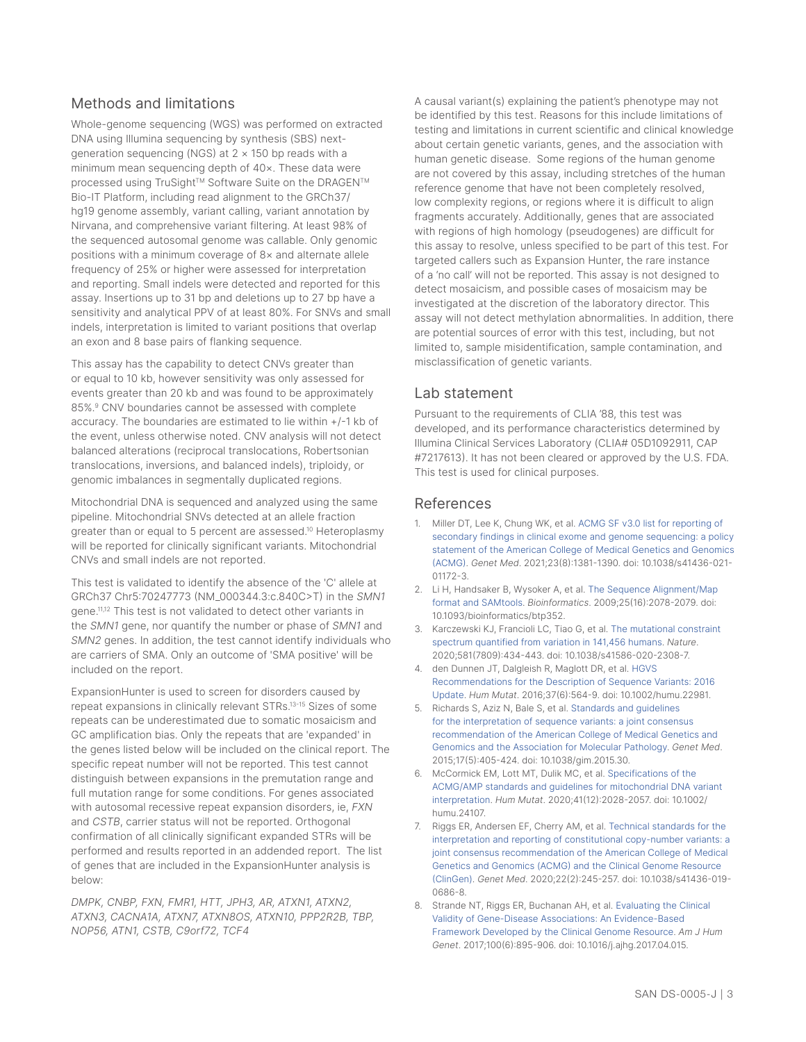#### Methods and limitations

Whole-genome sequencing (WGS) was performed on extracted DNA using Illumina sequencing by synthesis (SBS) nextgeneration sequencing (NGS) at  $2 \times 150$  bp reads with a minimum mean sequencing depth of 40×. These data were processed using TruSight™ Software Suite on the DRAGEN™ Bio-IT Platform, including read alignment to the GRCh37/ hg19 genome assembly, variant calling, variant annotation by Nirvana, and comprehensive variant filtering. At least 98% of the sequenced autosomal genome was callable. Only genomic positions with a minimum coverage of 8× and alternate allele frequency of 25% or higher were assessed for interpretation and reporting. Small indels were detected and reported for this assay. Insertions up to 31 bp and deletions up to 27 bp have a sensitivity and analytical PPV of at least 80%. For SNVs and small indels, interpretation is limited to variant positions that overlap an exon and 8 base pairs of flanking sequence.

This assay has the capability to detect CNVs greater than or equal to 10 kb, however sensitivity was only assessed for events greater than 20 kb and was found to be approximately 85%.[9](#page-3-0) CNV boundaries cannot be assessed with complete accuracy. The boundaries are estimated to lie within +/-1 kb of the event, unless otherwise noted. CNV analysis will not detect balanced alterations (reciprocal translocations, Robertsonian translocations, inversions, and balanced indels), triploidy, or genomic imbalances in segmentally duplicated regions.

Mitochondrial DNA is sequenced and analyzed using the same pipeline. Mitochondrial SNVs detected at an allele fraction greater than or equal to 5 percent are assessed[.10](#page-3-1) Heteroplasmy will be reported for clinically significant variants. Mitochondrial CNVs and small indels are not reported.

This test is validated to identify the absence of the 'C' allele at GRCh37 Chr5:70247773 (NM\_000344.3:c.840C>T) in the *SMN1* gene[.11](#page-3-2)[,12](#page-3-3) This test is not validated to detect other variants in the *SMN1* gene, nor quantify the number or phase of *SMN1* and *SMN2* genes. In addition, the test cannot identify individuals who are carriers of SMA. Only an outcome of 'SMA positive' will be included on the report.

ExpansionHunter is used to screen for disorders caused by repeat expansions in clinically relevant STRs[.13](#page-3-4)-[15](#page-3-5) Sizes of some repeats can be underestimated due to somatic mosaicism and GC amplification bias. Only the repeats that are 'expanded' in the genes listed below will be included on the clinical report. The specific repeat number will not be reported. This test cannot distinguish between expansions in the premutation range and full mutation range for some conditions. For genes associated with autosomal recessive repeat expansion disorders, ie, *FXN* and *CSTB*, carrier status will not be reported. Orthogonal confirmation of all clinically significant expanded STRs will be performed and results reported in an addended report. The list of genes that are included in the ExpansionHunter analysis is below:

*DMPK, CNBP, FXN, FMR1, HTT, JPH3, AR, ATXN1, ATXN2, ATXN3, CACNA1A, ATXN7, ATXN8OS, ATXN10, PPP2R2B, TBP, NOP56, ATN1, CSTB, C9orf72, TCF4*

A causal variant(s) explaining the patient's phenotype may not be identified by this test. Reasons for this include limitations of testing and limitations in current scientific and clinical knowledge about certain genetic variants, genes, and the association with human genetic disease. Some regions of the human genome are not covered by this assay, including stretches of the human reference genome that have not been completely resolved, low complexity regions, or regions where it is difficult to align fragments accurately. Additionally, genes that are associated with regions of high homology (pseudogenes) are difficult for this assay to resolve, unless specified to be part of this test. For targeted callers such as Expansion Hunter, the rare instance of a 'no call' will not be reported. This assay is not designed to detect mosaicism, and possible cases of mosaicism may be investigated at the discretion of the laboratory director. This assay will not detect methylation abnormalities. In addition, there are potential sources of error with this test, including, but not limited to, sample misidentification, sample contamination, and misclassification of genetic variants.

#### Lab statement

Pursuant to the requirements of CLIA '88, this test was developed, and its performance characteristics determined by Illumina Clinical Services Laboratory (CLIA# 05D1092911, CAP #7217613). It has not been cleared or approved by the U.S. FDA. This test is used for clinical purposes.

#### References

- <span id="page-2-0"></span>1. Miller DT, Lee K, Chung WK, et al. [ACMG SF v3.0 list for reporting of](https://pubmed.ncbi.nlm.nih.gov/34012068/)  [secondary findings in clinical exome and genome sequencing: a policy](https://pubmed.ncbi.nlm.nih.gov/34012068/)  [statement of the American College of Medical Genetics and Genomics](https://pubmed.ncbi.nlm.nih.gov/34012068/)  [\(ACMG\)](https://pubmed.ncbi.nlm.nih.gov/34012068/). *Genet Med*. 2021;23(8):1381-1390. doi: 10.1038/s41436-021- 01172-3.
- <span id="page-2-1"></span>2. Li H, Handsaker B, Wysoker A, et al. [The Sequence Alignment/Map](https://pubmed.ncbi.nlm.nih.gov/19505943/)  [format and SAMtools](https://pubmed.ncbi.nlm.nih.gov/19505943/). *Bioinformatics*. 2009;25(16):2078-2079. doi: 10.1093/bioinformatics/btp352.
- <span id="page-2-2"></span>3. Karczewski KJ, Francioli LC, Tiao G, et al. [The mutational constraint](https://pubmed.ncbi.nlm.nih.gov/32461654/)  [spectrum quantified from variation in 141,456 humans](https://pubmed.ncbi.nlm.nih.gov/32461654/). *Nature*. 2020;581(7809):434-443. doi: 10.1038/s41586-020-2308-7.
- <span id="page-2-3"></span>4. den Dunnen JT, Dalgleish R, Maglott DR, et al. [HGVS](https://pubmed.ncbi.nlm.nih.gov/26931183/)  [Recommendations for the Description of Sequence Variants: 2016](https://pubmed.ncbi.nlm.nih.gov/26931183/)  [Update.](https://pubmed.ncbi.nlm.nih.gov/26931183/) *Hum Mutat*. 2016;37(6):564-9. doi: 10.1002/humu.22981.
- <span id="page-2-4"></span>5. Richards S, Aziz N, Bale S, et al. [Standards and guidelines](https://pubmed.ncbi.nlm.nih.gov/25741868/)  [for the interpretation of sequence variants: a joint consensus](https://pubmed.ncbi.nlm.nih.gov/25741868/)  [recommendation of the American College of Medical Genetics and](https://pubmed.ncbi.nlm.nih.gov/25741868/)  [Genomics and the Association for Molecular Pathology](https://pubmed.ncbi.nlm.nih.gov/25741868/). *Genet Med*. 2015;17(5):405-424. doi: 10.1038/gim.2015.30.
- <span id="page-2-5"></span>6. McCormick EM, Lott MT, Dulik MC, et al. [Specifications of the](https://pubmed.ncbi.nlm.nih.gov/32906214/)  [ACMG/AMP standards and guidelines for mitochondrial DNA variant](https://pubmed.ncbi.nlm.nih.gov/32906214/)  [interpretation.](https://pubmed.ncbi.nlm.nih.gov/32906214/) *Hum Mutat*. 2020;41(12):2028-2057. doi: 10.1002/ humu.24107.
- <span id="page-2-6"></span>7. Riggs ER, Andersen EF, Cherry AM, et al. [Technical standards for the](https://pubmed.ncbi.nlm.nih.gov/31690835/)  [interpretation and reporting of constitutional copy-number variants: a](https://pubmed.ncbi.nlm.nih.gov/31690835/)  [joint consensus recommendation of the American College of Medical](https://pubmed.ncbi.nlm.nih.gov/31690835/)  [Genetics and Genomics \(ACMG\) and the Clinical Genome Resource](https://pubmed.ncbi.nlm.nih.gov/31690835/)  [\(ClinGen\)](https://pubmed.ncbi.nlm.nih.gov/31690835/). *Genet Med*. 2020;22(2):245-257. doi: 10.1038/s41436-019- 0686-8.
- <span id="page-2-7"></span>8. Strande NT, Riggs ER, Buchanan AH, et al. [Evaluating the Clinical](https://pubmed.ncbi.nlm.nih.gov/28552198/)  [Validity of Gene-Disease Associations: An Evidence-Based](https://pubmed.ncbi.nlm.nih.gov/28552198/)  [Framework Developed by the Clinical Genome Resource](https://pubmed.ncbi.nlm.nih.gov/28552198/). *Am J Hum Genet*. 2017;100(6):895-906. doi: 10.1016/j.ajhg.2017.04.015.